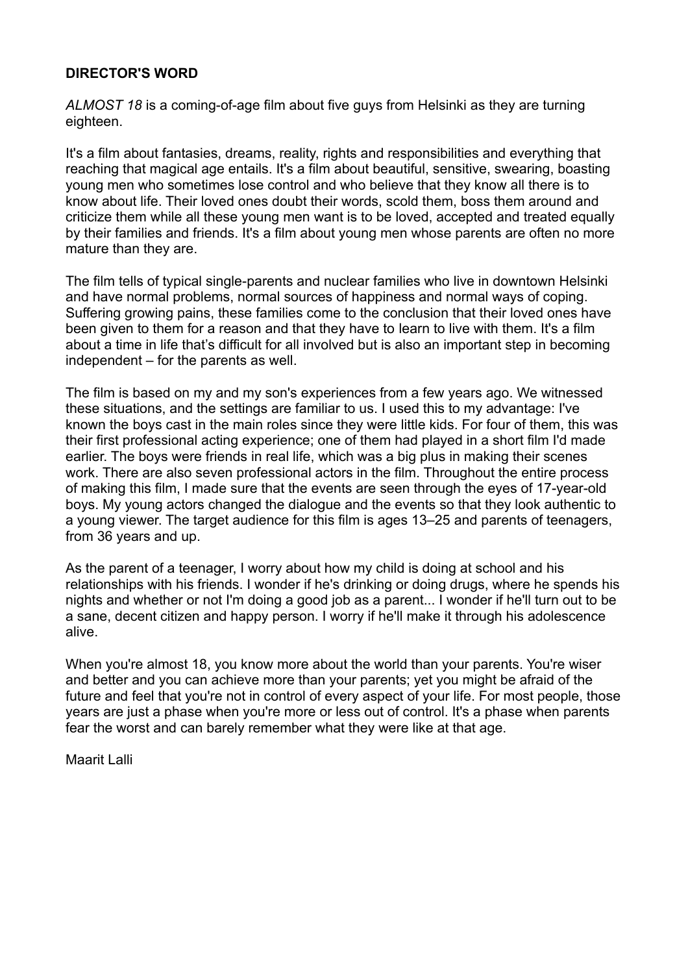## **DIRECTOR'S WORD**

*ALMOST 18* is a coming-of-age film about five guys from Helsinki as they are turning eighteen.

It's a film about fantasies, dreams, reality, rights and responsibilities and everything that reaching that magical age entails. It's a film about beautiful, sensitive, swearing, boasting young men who sometimes lose control and who believe that they know all there is to know about life. Their loved ones doubt their words, scold them, boss them around and criticize them while all these young men want is to be loved, accepted and treated equally by their families and friends. It's a film about young men whose parents are often no more mature than they are.

The film tells of typical single-parents and nuclear families who live in downtown Helsinki and have normal problems, normal sources of happiness and normal ways of coping. Suffering growing pains, these families come to the conclusion that their loved ones have been given to them for a reason and that they have to learn to live with them. It's a film about a time in life that's difficult for all involved but is also an important step in becoming independent – for the parents as well.

The film is based on my and my son's experiences from a few years ago. We witnessed these situations, and the settings are familiar to us. I used this to my advantage: I've known the boys cast in the main roles since they were little kids. For four of them, this was their first professional acting experience; one of them had played in a short film I'd made earlier. The boys were friends in real life, which was a big plus in making their scenes work. There are also seven professional actors in the film. Throughout the entire process of making this film, I made sure that the events are seen through the eyes of 17-year-old boys. My young actors changed the dialogue and the events so that they look authentic to a young viewer. The target audience for this film is ages 13–25 and parents of teenagers, from 36 years and up.

As the parent of a teenager, I worry about how my child is doing at school and his relationships with his friends. I wonder if he's drinking or doing drugs, where he spends his nights and whether or not I'm doing a good job as a parent... I wonder if he'll turn out to be a sane, decent citizen and happy person. I worry if he'll make it through his adolescence alive.

When you're almost 18, you know more about the world than your parents. You're wiser and better and you can achieve more than your parents; yet you might be afraid of the future and feel that you're not in control of every aspect of your life. For most people, those years are just a phase when you're more or less out of control. It's a phase when parents fear the worst and can barely remember what they were like at that age.

Maarit Lalli